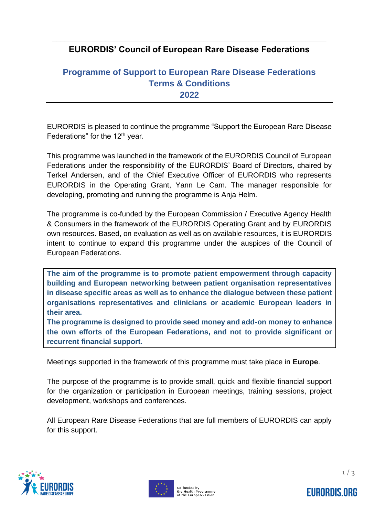## **\_\_\_\_\_\_\_\_\_\_\_\_\_\_\_\_\_\_\_\_\_\_\_\_\_\_\_\_\_\_\_\_\_\_\_\_\_\_\_\_\_\_\_\_\_\_\_\_\_\_\_\_\_\_\_\_\_\_\_\_\_\_\_\_\_\_\_ EURORDIS' Council of European Rare Disease Federations**

## **Programme of Support to European Rare Disease Federations Terms & Conditions 2022**

EURORDIS is pleased to continue the programme "Support the European Rare Disease Federations" for the 12<sup>th</sup> year.

This programme was launched in the framework of the EURORDIS Council of European Federations under the responsibility of the EURORDIS' Board of Directors, chaired by Terkel Andersen, and of the Chief Executive Officer of EURORDIS who represents EURORDIS in the Operating Grant, Yann Le Cam. The manager responsible for developing, promoting and running the programme is Anja Helm.

The programme is co-funded by the European Commission / Executive Agency Health & Consumers in the framework of the EURORDIS Operating Grant and by EURORDIS own resources. Based, on evaluation as well as on available resources, it is EURORDIS intent to continue to expand this programme under the auspices of the Council of European Federations.

**The aim of the programme is to promote patient empowerment through capacity building and European networking between patient organisation representatives in disease specific areas as well as to enhance the dialogue between these patient organisations representatives and clinicians or academic European leaders in their area.** 

**The programme is designed to provide seed money and add-on money to enhance the own efforts of the European Federations, and not to provide significant or recurrent financial support.**

Meetings supported in the framework of this programme must take place in **Europe**.

The purpose of the programme is to provide small, quick and flexible financial support for the organization or participation in European meetings, training sessions, project development, workshops and conferences.

All European Rare Disease Federations that are full members of EURORDIS can apply for this support.







**EURORDIS.ORG**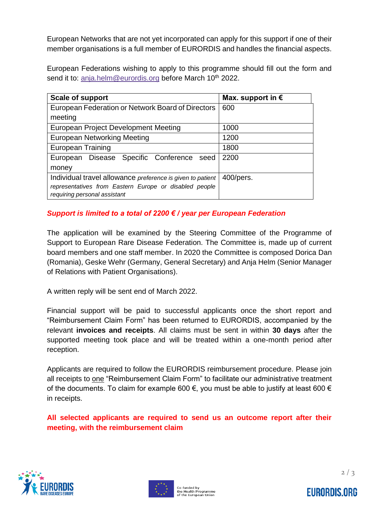European Networks that are not yet incorporated can apply for this support if one of their member organisations is a full member of EURORDIS and handles the financial aspects.

European Federations wishing to apply to this programme should fill out the form and send it to: [anja.helm@eurordis.org](mailto:anja.helm@eurordis.org) before March 10<sup>th</sup> 2022.

| <b>Scale of support</b>                                    | Max. support in $\epsilon$ |
|------------------------------------------------------------|----------------------------|
| European Federation or Network Board of Directors          | 600                        |
| meeting                                                    |                            |
| European Project Development Meeting                       | 1000                       |
| <b>European Networking Meeting</b>                         | 1200                       |
| European Training                                          | 1800                       |
| European Disease Specific Conference seed                  | 2200                       |
| money                                                      |                            |
| Individual travel allowance preference is given to patient | $400$ /pers.               |
| representatives from Eastern Europe or disabled people     |                            |
| requiring personal assistant                               |                            |

## *Support is limited to a total of 2200 € / year per European Federation*

The application will be examined by the Steering Committee of the Programme of Support to European Rare Disease Federation. The Committee is, made up of current board members and one staff member. In 2020 the Committee is composed Dorica Dan (Romania), Geske Wehr (Germany, General Secretary) and Anja Helm (Senior Manager of Relations with Patient Organisations).

A written reply will be sent end of March 2022.

Financial support will be paid to successful applicants once the short report and "Reimbursement Claim Form" has been returned to EURORDIS, accompanied by the relevant **invoices and receipts**. All claims must be sent in within **30 days** after the supported meeting took place and will be treated within a one-month period after reception.

Applicants are required to follow the EURORDIS reimbursement procedure. Please join all receipts to one "Reimbursement Claim Form" to facilitate our administrative treatment of the documents. To claim for example 600  $\epsilon$ , you must be able to justify at least 600  $\epsilon$ in receipts.

**All selected applicants are required to send us an outcome report after their meeting, with the reimbursement claim**





 $2/3$